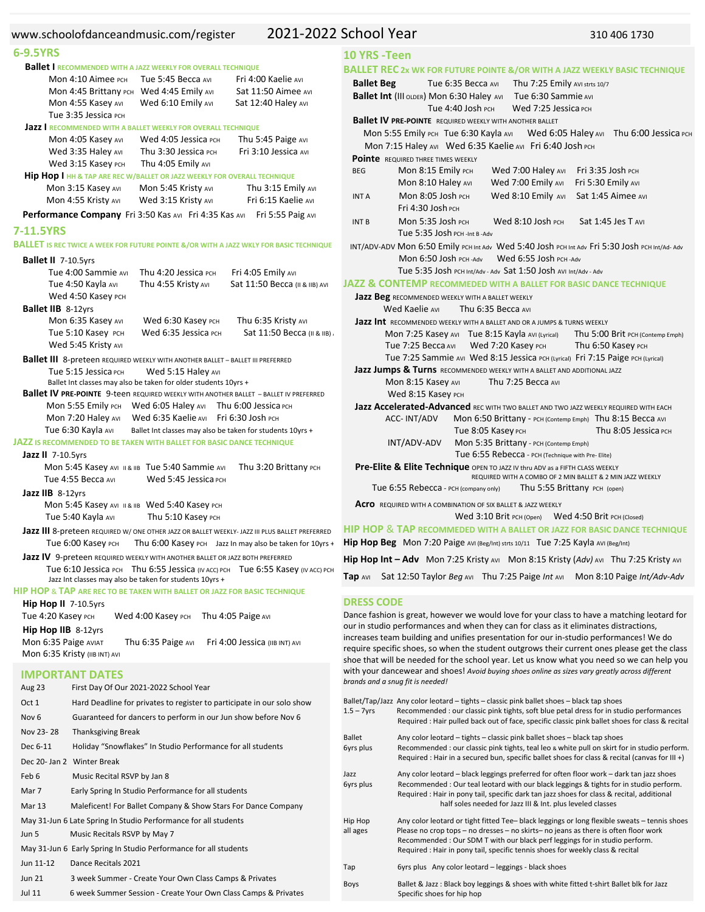| www.schoolofdanceandmusic.com/register                                                                                                                                                                                                                                                                  | 2021-2022 School Year                                                                                                                                                                                                                                                                                                                                                                                                                                                    | 310 406 1730                                                                     |
|---------------------------------------------------------------------------------------------------------------------------------------------------------------------------------------------------------------------------------------------------------------------------------------------------------|--------------------------------------------------------------------------------------------------------------------------------------------------------------------------------------------------------------------------------------------------------------------------------------------------------------------------------------------------------------------------------------------------------------------------------------------------------------------------|----------------------------------------------------------------------------------|
| 6-9.5YRS                                                                                                                                                                                                                                                                                                | 10 YRS - Teen                                                                                                                                                                                                                                                                                                                                                                                                                                                            |                                                                                  |
| <b>Ballet I RECOMMENDED WITH A JAZZ WEEKLY FOR OVERALL TECHNIQUE</b>                                                                                                                                                                                                                                    | <b>BALLET REC 2x WK FOR FUTURE POINTE &amp;/OR WITH A JAZZ WEEKLY BASIC TECH</b>                                                                                                                                                                                                                                                                                                                                                                                         |                                                                                  |
| Fri 4:00 Kaelie AVI<br><b>Mon 4:10 Aimee PCH</b><br>Tue 5:45 Becca AVI<br>Mon 4:45 Brittany PCH Wed 4:45 Emily AVI<br>Sat 11:50 Aimee AVI<br>Mon 4:55 Kasey AVI<br>Wed 6:10 Emily AVI<br>Sat 12:40 Haley AVI<br>Tue 3:35 Jessica PCH                                                                    | <b>Ballet Beg</b><br>Tue 6:35 Becca AVI<br>Ballet Int (III OLDER) Mon 6:30 Haley AVI<br>Tue 6:30 Sammie Avi<br>Tue 4:40 Josh PCH<br>Wed 7:25 Jessica PCH                                                                                                                                                                                                                                                                                                                 | Thu 7:25 Emily AVI strts 10/7                                                    |
| <b>Jazz I RECOMMENDED WITH A BALLET WEEKLY FOR OVERALL TECHNIQUE</b><br>Mon 4:05 Kasey AVI<br>Wed 4:05 Jessica PCH<br>Thu 5:45 Paige AVI<br>Wed 3:35 Haley AVI<br>Thu 3:30 Jessica PCH<br>Fri 3:10 Jessica AVI<br>Wed 3:15 Kasey PCH<br>Thu 4:05 Emily AVI                                              | <b>Ballet IV PRE-POINTE</b> REQUIRED WEEKLY WITH ANOTHER BALLET<br>Mon 5:55 Emily PCH Tue 6:30 Kayla AVI<br>Mon 7:15 Haley AVI Wed 6:35 Kaelie AVI Fri 6:40 Josh PCH<br><b>Pointe</b> REQUIRED THREE TIMES WEEKLY                                                                                                                                                                                                                                                        | Wed 6:05 Haley AVI Thu 6:00 Je                                                   |
| <b>Hip Hop I HH &amp; TAP ARE REC W/BALLET OR JAZZ WEEKLY FOR OVERALL TECHNIQUE</b><br>Mon 3:15 Kasey AVI<br>Mon 5:45 Kristy AVI<br>Thu 3:15 Emily AVI<br>Mon 4:55 Kristy AVI<br>Fri 6:15 Kaelie AVI<br>Wed 3:15 Kristy AVI                                                                             | <b>BEG</b><br>Mon 8:15 Emily PCH<br>Wed 7:00 Haley AVI<br>Mon 8:10 Haley AVI<br>Wed 7:00 Emily AVI<br>Mon 8:05 Josh PCH<br><b>INT A</b>                                                                                                                                                                                                                                                                                                                                  | Fri 3:35 Josh PCH<br>Fri 5:30 Emily AVI<br>Wed 8:10 Emily AVI Sat 1:45 Aimee AVI |
| Performance Company Fri 3:50 Kas AVI Fri 4:35 Kas AVI Fri 5:55 Paig AVI<br>7-11.5YRS                                                                                                                                                                                                                    | Fri 4:30 Josh PCH<br>Mon 5:35 Josh PCH<br>Wed 8:10 Josh PCH<br><b>INTB</b><br>Tue 5:35 Josh PCH -Int B -Adv                                                                                                                                                                                                                                                                                                                                                              | Sat 1:45 Jes T AVI                                                               |
| <b>BALLET</b> IS RECTWICE A WEEK FOR FUTURE POINTE &/OR WITH A JAZZ WKLY FOR BASIC TECHNIQUE                                                                                                                                                                                                            | INT/ADV-ADV MON 6:50 Emily PCH Int Adv Wed 5:40 Josh PCH Int Adv Fri 5:30 Josh PCH Int                                                                                                                                                                                                                                                                                                                                                                                   |                                                                                  |
| Ballet II 7-10.5yrs<br>Tue 4:00 Sammie AVI<br>Thu 4:20 Jessica PCH<br>Fri 4:05 Emily AVI<br>Sat 11:50 Becca (II & IIB) AVI<br>Tue 4:50 Kayla AVI<br>Thu 4:55 Kristy AVI                                                                                                                                 | Wed 6:55 Josh PCH - Adv<br>Mon 6:50 Josh PCH-Adv<br>Tue 5:35 Josh PCH Int/Adv - Adv Sat 1:50 Josh AVI Int/Adv - Adv<br>JAZZ & CONTEMP RECOMMEDED WITH A BALLET FOR BASIC DANCE TECHNIQU                                                                                                                                                                                                                                                                                  |                                                                                  |
| Wed 4:50 Kasey PCH<br><b>Ballet IIB 8-12yrs</b>                                                                                                                                                                                                                                                         | Jazz Beg RECOMMENDED WEEKLY WITH A BALLET WEEKLY<br>Wed Kaelie AVI<br>Thu 6:35 Becca AVI                                                                                                                                                                                                                                                                                                                                                                                 |                                                                                  |
| Mon 6:35 Kasey AVI<br>Wed 6:30 Kasey PCH<br>Thu 6:35 Kristy AVI<br>Tue 5:10 Kasey PCH<br>Wed 6:35 Jessica PCH<br>Sat 11:50 Becca (II & IIB)<br>Wed 5:45 Kristy AVI                                                                                                                                      | <b>Jazz Int</b> RECOMMENDED WEEKLY WITH A BALLET AND OR A JUMPS & TURNS WEEKLY<br>Mon 7:25 Kasey AVI Tue 8:15 Kayla AVI (Lyrical)<br>Tue 7:25 Becca AVI<br>Wed 7:20 Kasey PCH                                                                                                                                                                                                                                                                                            | Thu 5:00 Brit PCH (Conter<br>Thu 6:50 Kasey PCH                                  |
| <b>Ballet III</b> 8-preteen REQUIRED WEEKLY WITH ANOTHER BALLET - BALLET III PREFERRED<br>Wed 5:15 Haley AVI<br>Tue 5:15 Jessica PCH<br>Ballet Int classes may also be taken for older students 10yrs +<br><b>Ballet IV PRE-POINTE 9-teen REQUIRED WEEKLY WITH ANOTHER BALLET - BALLET IV PREFERRED</b> | Tue 7:25 Sammie AVI Wed 8:15 Jessica PCH (Lyrical) Fri 7:15 Paige PCH (Lyrica<br>Jazz Jumps & Turns RECOMMENDED WEEKLY WITH A BALLET AND ADDITIONAL JAZZ<br>Mon 8:15 Kasey AVI<br>Thu 7:25 Becca AVI<br>Wed 8:15 Kasey PCH                                                                                                                                                                                                                                               |                                                                                  |
| <b>Mon 5:55 Emily PCH</b><br>Wed $6:05$ Haley AVI Thu $6:00$ Jessica PCH<br>Mon 7:20 Haley AVI<br>Wed 6:35 Kaelie AVI Fri 6:30 Josh PCH<br>Tue 6:30 Kayla AVI<br>Ballet Int classes may also be taken for students 10yrs +<br>JAZZ IS RECOMMENDED TO BE TAKEN WITH BALLET FOR BASIC DANCE TECHNIQUE     | Jazz Accelerated-Advanced REC WITH TWO BALLET AND TWO JAZZ WEEKLY REQUIRED WITH E<br>ACC-INT/ADV<br>Tue 8:05 Kasey PCH<br>INT/ADV-ADV<br>Mon 5:35 Brittany - PCH (Contemp Emph)                                                                                                                                                                                                                                                                                          | Mon 6:50 Brittany - PCH (Contemp Emph) Thu 8:15 Becca /<br>Thu 8:05 Jessica      |
| <b>Jazz II</b> 7-10.5yrs                                                                                                                                                                                                                                                                                | Tue 6:55 Rebecca - PCH (Technique with Pre- Elite)                                                                                                                                                                                                                                                                                                                                                                                                                       |                                                                                  |
| Mon 5:45 Kasey AVI II & IIB Tue 5:40 Sammie AVI<br>Thu 3:20 Brittany PCH<br>Tue 4:55 Becca AVI<br>Wed 5:45 Jessica PCH                                                                                                                                                                                  | Pre-Elite & Elite Technique OPEN TO JAZZ IV thru ADV as a FIFTH CLASS WEEKLY                                                                                                                                                                                                                                                                                                                                                                                             | REQUIRED WITH A COMBO OF 2 MIN BALLET & 2 MIN JAZZ WEEKLY                        |
| Jazz IIB 8-12yrs                                                                                                                                                                                                                                                                                        | Tue 6:55 Rebecca - PCH (company only)                                                                                                                                                                                                                                                                                                                                                                                                                                    | Thu 5:55 Brittany PCH (open)                                                     |
| Mon 5:45 Kasey AVI II & IIB Wed 5:40 Kasey PCH<br>Thu 5:10 Kasey PCH<br>Tue 5:40 Kayla AVI                                                                                                                                                                                                              | <b>ACro</b> REQUIRED WITH A COMBINATION OF SIX BALLET & JAZZ WEEKLY<br>Wed 3:10 Brit PCH (Open) Wed 4:50 Brit PCH (Closed)                                                                                                                                                                                                                                                                                                                                               |                                                                                  |
| Jazz III 8-preteen REQUIRED W/ ONE OTHER JAZZ OR BALLET WEEKLY-JAZZ III PLUS BALLET PREFERRED<br>Tue 6:00 Kasey PCH Thu 6:00 Kasey PCH Jazz In may also be taken for 10yrs + Hip Hop Beg Mon 7:20 Paige AVI (Beg/Int) strts 10/11 Tue 7:25 Kayla AVI (Beg/Int)                                          | <b>HIP HOP &amp; TAP RECOMMEDED WITH A BALLET OR JAZZ FOR BASIC DANCE TECH</b>                                                                                                                                                                                                                                                                                                                                                                                           |                                                                                  |
| Jazz IV 9-preteen REQUIRED WEEKLY WITH ANOTHER BALLET OR JAZZ BOTH PREFERRED                                                                                                                                                                                                                            | <b>Hip Hop Int - Adv</b> Mon 7:25 Kristy Avi Mon 8:15 Kristy (Adv) Avi Thu 7:25 Kri                                                                                                                                                                                                                                                                                                                                                                                      |                                                                                  |
| Tue 6:10 Jessica PCH Thu 6:55 Jessica (IV ACC) PCH Tue 6:55 Kasey (IV ACC) PCH<br>Jazz Int classes may also be taken for students 10yrs +<br>HIP HOP & TAP ARE REC TO BE TAKEN WITH BALLET OR JAZZ FOR BASIC TECHNIQUE                                                                                  | <b>Tap AVI</b> Sat 12:50 Taylor Beg AVI Thu 7:25 Paige Int AVI Mon 8:10 Paige Int/A                                                                                                                                                                                                                                                                                                                                                                                      |                                                                                  |
| Hip Hop II 7-10.5yrs<br>Tue 4:20 Kasey PCH<br>Wed 4:00 Kasey PCH Thu 4:05 Paige AVI<br>Hip Hop IIB 8-12yrs<br>Mon 6:35 Paige AVIAT<br>Thu 6:35 Paige AVI Fri 4:00 Jessica (IIB INT) AVI<br>Mon 6:35 Kristy (IIB INT) AVI                                                                                | <b>DRESS CODE</b><br>Dance fashion is great, however we would love for your class to have a matching leo<br>our in studio performances and when they can for class as it eliminates distractions,<br>increases team building and unifies presentation for our in-studio performances! We<br>require specific shoes, so when the student outgrows their current ones please get to<br>shoe that will be needed for the school year. Let us know what you need so we can h |                                                                                  |
| <b>IMPORTANT DATES</b><br>First Day Of Our 2021-2022 School Year<br>Aug 23                                                                                                                                                                                                                              | with your dancewear and shoes! Avoid buying shoes online as sizes vary greatly across differ<br>brands and a snug fit is needed!<br>Ballet/Tap/Jazz Any color leotard - tights - classic pink ballet shoes - black tap shoes                                                                                                                                                                                                                                             |                                                                                  |
| Hard Deadline for privates to register to participate in our solo show<br>Oct 1<br>Guaranteed for dancers to perform in our Jun show before Nov 6<br>Nov <sub>6</sub><br>Nov 23-28<br>Thanksgiving Break                                                                                                | $1.5 - 7$ yrs<br>Recommended : our classic pink tights, soft blue petal dress for in studio perforn<br>Required : Hair pulled back out of face, specific classic pink ballet shoes for class                                                                                                                                                                                                                                                                             |                                                                                  |
| Dec 6-11<br>Holiday "Snowflakes" In Studio Performance for all students<br>Dec 20- Jan 2 Winter Break                                                                                                                                                                                                   | Ballet<br>Any color leotard - tights - classic pink ballet shoes - black tap shoes<br>6yrs plus<br>Recommended: our classic pink tights, teal leo & white pull on skirt for in studio<br>Required : Hair in a secured bun, specific ballet shoes for class & recital (canvas i                                                                                                                                                                                           |                                                                                  |
| Feb 6<br>Music Recital RSVP by Jan 8<br>Early Spring In Studio Performance for all students<br>Mar 7<br>Maleficent! For Ballet Company & Show Stars For Dance Company<br>Mar 13                                                                                                                         | Any color leotard - black leggings preferred for often floor work - dark tan jazz s<br>Jazz<br>Recommended: Our teal leotard with our black leggings & tights for in studio pe<br>6yrs plus<br>Required : Hair in pony tail, specific dark tan jazz shoes for class & recital, additionally<br>half soles needed for Jazz III & Int. plus leveled classes                                                                                                                |                                                                                  |
| May 31-Jun 6 Late Spring In Studio Performance for all students<br>Music Recitals RSVP by May 7<br>Jun 5<br>May 31-Jun 6 Early Spring In Studio Performance for all students                                                                                                                            | Any color leotard or tight fitted Tee- black leggings or long flexible sweats - ten<br>Hip Hop<br>all ages<br>Please no crop tops - no dresses - no skirts- no jeans as there is often floor wor<br>Recommended: Our SDM T with our black perf leggings for in studio perform.<br>Required : Hair in pony tail, specific tennis shoes for weekly class & recital                                                                                                         |                                                                                  |
| Jun 11-12<br>Dance Recitals 2021                                                                                                                                                                                                                                                                        | Syre plus Any color leaterd - leggings - black shoes                                                                                                                                                                                                                                                                                                                                                                                                                     |                                                                                  |

| 3 week Summer - Create Your Own Class Camps & Privates |
|--------------------------------------------------------|
|                                                        |

Jul 11 6 week Summer Session ‐ Create Your Own Class Camps & Privates

# **BALLET REC 2x WK FOR FUTURE POINTE &/OR WITH A JAZZ WEEKLY BASIC TECHNIQUE Ballet Beg**  Tue 6:35 Becca AVI Thu 7:25 Emily AVI strts 10/7  **Ballex** AVI Tue 6:30 Sammie AVI Tue 4:40 Josh PCH Wed 7:25 Jessica PCH  **Ballet IV PRE‐POINTE** REQUIRED WEEKLY WITH ANOTHER BALLET e 6:30 Kayla Avi Wed 6:05 Haley Avi Thu 6:00 Jessica PCH ed 6:35 Kaelie AVI Fri 6:40 Josh PCH **WEEKLY** V PCH Wed 7:00 Haley AVI Fri 3:35 Josh PCH Mon 8:10 Haley AVI Wed 7:00 Emily AVI Fri 5:30 Emily AVI INT A Mon 8:05 Josh PCH Wed 8:10 Emily AVI Sat 1:45 Aimee AVI **Fri 4:30 Josh PCH** PCH Wed 8:10 Josh PCH Sat 1:45 Jes T AVI PCH ‐Int B ‐Adv IV PCH Int Adv Wed 5:40 Josh PCH Int Adv Fri 5:30 Josh PCH Int/Ad- Adv PCH -Adv Wed 6:55 Josh PCH -Adv  $PCH$  Int/Adv - Adv  $Sat$   $1:50$  JOSh AVI Int/Adv - Adv **JAZZ & CONTEMP RECOMMEDED WITH A BALLET FOR BASIC DANCE TECHNIQUE Jazz Beg** RECOMMENDED WEEKLY WITH <sup>A</sup> BALLET WEEKLY Thu 6:35 Becca AVI **LY WITH A BALLET AND OR A JUMPS & TURNS WEEKLY** Mon 7:25 Kasey AVI Tue 8:15 Kayla AVI (Lyrical) Thu 5:00 Brit PCH (Contemp Emph) Wed 7:20 Kasey PCH Thu 6:50 Kasey PCH AVI Wed 8:15 Jessica PCH (Lyrical) Fri 7:15 Paige PCH (Lyrical) **Jazz Jumps & Turns** RECOMMENDED WEEKLY WITH <sup>A</sup> BALLET AND ADDITIONAL JAZZ  $V_I$  Thu 7:25 Becca AVI **Wed 8:15 Kasey PCH New York Street Assembly ICEC** REC WITH TWO BALLET AND TWO JAZZ WEEKLY REQUIRED WITH EACH Mon 6:50 Brittany - PCH (Contemp Emph) Thu 8:15 Becca AVI Tue 8:05 Kasey PCH Thu 8:05 Jessica PCH **Mon 5:35 Brittany** - РСН (Contemp Emph) Tue 6:55 Rebecca *‐* PCH (Technique with Pre‐ Elite)  **Pre‐Elite & Elite Technique** OPEN TO JAZZ IV thru ADV as <sup>a</sup> FIFTH CLASS WEEKLY REQUIRED WITH A COMBO OF 2 MIN BALLET & 2 MIN JAZZ WEEKLY H (company only) **Thu 5:55 Brittany** PCH (open)  **Acro** REQUIRED WITH <sup>A</sup> COMBINATION OF SIX BALLET & JAZZ WEEKLY Wed 3:10 Brit PCH (Open) Wed 4:50 Brit PCH (Closed) **EDED WITH A BALLET OR JAZZ FOR BASIC DANCE TECHNIQUE ige** AVI (Beg/Int) strts 10/11 Tue 7:25 Kayla AVI (Beg/Int) **Hip Hop Int – Adv**  Mon 7:25 Kristy AVI Mon 8:15 Kristy (*Adv)* AVI Thu 7:25 Kristy AVI **Papart AVI Sat Thu 7:25 Paige Int AVI** Mon 8:10 Paige Int/Adv-Adv er we would love for your class to have a matching leotard for

d when they can for class as it eliminates distractions, inifies presentation for our in-studio performances! We do n the student outgrows their current ones please get the class he school year. Let us know what you need so we can help you with your dancewear and shoes! *Avoid buying shoes online as sizes vary greatly across different*

| $1.5 - 7$ yrs              | Ballet/Tap/Jazz Any color leotard – tights – classic pink ballet shoes – black tap shoes<br>Recommended : our classic pink tights, soft blue petal dress for in studio performances<br>Required : Hair pulled back out of face, specific classic pink ballet shoes for class & recital                                                              |
|----------------------------|-----------------------------------------------------------------------------------------------------------------------------------------------------------------------------------------------------------------------------------------------------------------------------------------------------------------------------------------------------|
| <b>Ballet</b><br>6yrs plus | Any color leotard – tights – classic pink ballet shoes – black tap shoes<br>Recommended : our classic pink tights, teal leo & white pull on skirt for in studio perform.<br>Required : Hair in a secured bun, specific ballet shoes for class & recital (canvas for III +)                                                                          |
| Jazz<br>6yrs plus          | Any color leotard – black leggings preferred for often floor work – dark tan jazz shoes<br>Recommended: Our teal leotard with our black leggings & tights for in studio perform.<br>Required : Hair in pony tail, specific dark tan jazz shoes for class & recital, additional<br>half soles needed for Jazz III & Int. plus leveled classes        |
| Hip Hop<br>all ages        | Any color leotard or tight fitted Tee- black leggings or long flexible sweats - tennis shoes<br>Please no crop tops - no dresses - no skirts- no jeans as there is often floor work<br>Recommended: Our SDM T with our black perf leggings for in studio perform.<br>Required : Hair in pony tail, specific tennis shoes for weekly class & recital |
| Tap                        | 6yrs plus Any color leotard - leggings - black shoes                                                                                                                                                                                                                                                                                                |
| Boys                       | Ballet & Jazz: Black boy leggings & shoes with white fitted t-shirt Ballet blk for Jazz<br>Specific shoes for hip hop                                                                                                                                                                                                                               |